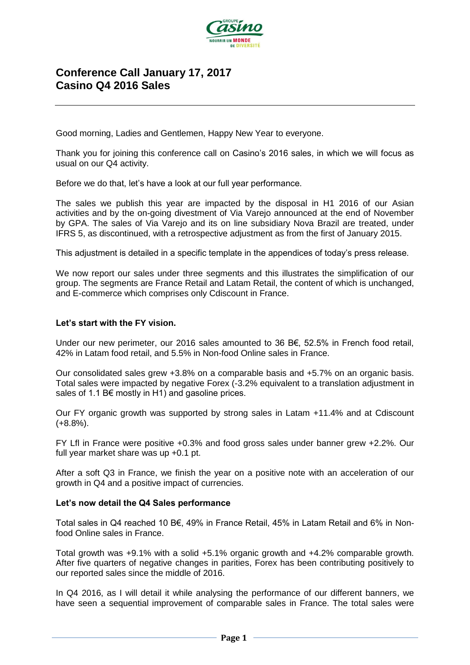

# **Conference Call January 17, 2017 Casino Q4 2016 Sales**

Good morning, Ladies and Gentlemen, Happy New Year to everyone.

Thank you for joining this conference call on Casino's 2016 sales, in which we will focus as usual on our Q4 activity.

Before we do that, let's have a look at our full year performance.

The sales we publish this year are impacted by the disposal in H1 2016 of our Asian activities and by the on-going divestment of Via Varejo announced at the end of November by GPA. The sales of Via Varejo and its on line subsidiary Nova Brazil are treated, under IFRS 5, as discontinued, with a retrospective adjustment as from the first of January 2015.

This adjustment is detailed in a specific template in the appendices of today's press release.

We now report our sales under three segments and this illustrates the simplification of our group. The segments are France Retail and Latam Retail, the content of which is unchanged, and E-commerce which comprises only Cdiscount in France.

#### **Let's start with the FY vision.**

Under our new perimeter, our 2016 sales amounted to 36 B€, 52.5% in French food retail, 42% in Latam food retail, and 5.5% in Non-food Online sales in France.

Our consolidated sales grew +3.8% on a comparable basis and +5.7% on an organic basis. Total sales were impacted by negative Forex (-3.2% equivalent to a translation adjustment in sales of 1.1 B $\epsilon$  mostly in H1) and gasoline prices.

Our FY organic growth was supported by strong sales in Latam +11.4% and at Cdiscount (+8.8%).

FY Lfl in France were positive +0.3% and food gross sales under banner grew +2.2%. Our full year market share was up +0.1 pt.

After a soft Q3 in France, we finish the year on a positive note with an acceleration of our growth in Q4 and a positive impact of currencies.

#### **Let's now detail the Q4 Sales performance**

Total sales in Q4 reached 10 B€, 49% in France Retail, 45% in Latam Retail and 6% in Nonfood Online sales in France.

Total growth was +9.1% with a solid +5.1% organic growth and +4.2% comparable growth. After five quarters of negative changes in parities, Forex has been contributing positively to our reported sales since the middle of 2016.

In Q4 2016, as I will detail it while analysing the performance of our different banners, we have seen a sequential improvement of comparable sales in France. The total sales were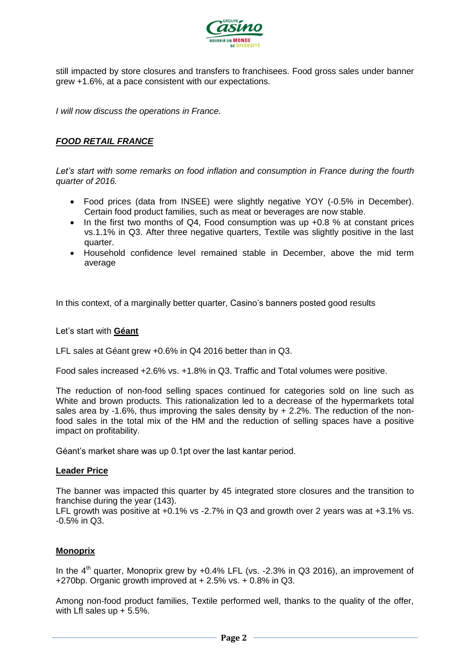

still impacted by store closures and transfers to franchisees. Food gross sales under banner grew +1.6%, at a pace consistent with our expectations.

*I will now discuss the operations in France.*

## *FOOD RETAIL FRANCE*

*Let's start with some remarks on food inflation and consumption in France during the fourth quarter of 2016.*

- Food prices (data from INSEE) were slightly negative YOY (-0.5% in December). Certain food product families, such as meat or beverages are now stable.
- $\bullet$  In the first two months of Q4, Food consumption was up +0.8 % at constant prices vs.1.1% in Q3. After three negative quarters, Textile was slightly positive in the last quarter.
- Household confidence level remained stable in December, above the mid term average

In this context, of a marginally better quarter, Casino's banners posted good results

#### Let's start with **Géant**

LFL sales at Géant grew +0.6% in Q4 2016 better than in Q3.

Food sales increased +2.6% vs. +1.8% in Q3. Traffic and Total volumes were positive.

The reduction of non-food selling spaces continued for categories sold on line such as White and brown products. This rationalization led to a decrease of the hypermarkets total sales area by -1.6%, thus improving the sales density by  $+ 2.2$ %. The reduction of the nonfood sales in the total mix of the HM and the reduction of selling spaces have a positive impact on profitability.

Géant's market share was up 0.1pt over the last kantar period.

#### **Leader Price**

The banner was impacted this quarter by 45 integrated store closures and the transition to franchise during the year (143).

LFL growth was positive at +0.1% vs -2.7% in Q3 and growth over 2 years was at +3.1% vs. -0.5% in Q3.

## **Monoprix**

In the  $4<sup>th</sup>$  quarter, Monoprix grew by +0.4% LFL (vs. -2.3% in Q3 2016), an improvement of +270bp. Organic growth improved at  $+2.5\%$  vs.  $+0.8\%$  in Q3.

Among non-food product families, Textile performed well, thanks to the quality of the offer, with Lfl sales up  $+ 5.5%$ .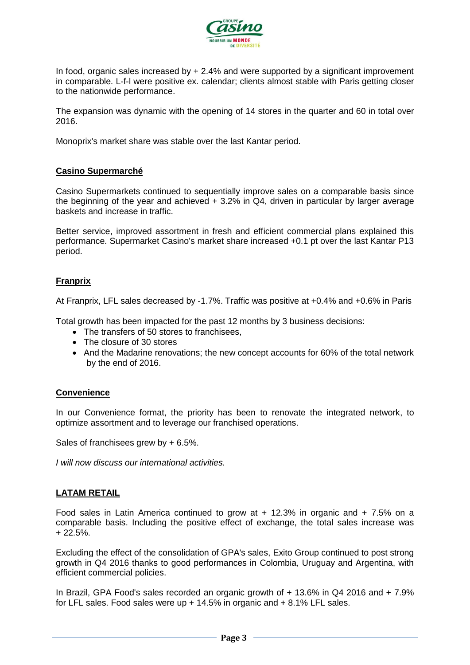

In food, organic sales increased by + 2.4% and were supported by a significant improvement in comparable. L-f-l were positive ex. calendar; clients almost stable with Paris getting closer to the nationwide performance.

The expansion was dynamic with the opening of 14 stores in the quarter and 60 in total over 2016.

Monoprix's market share was stable over the last Kantar period.

## **Casino Supermarché**

Casino Supermarkets continued to sequentially improve sales on a comparable basis since the beginning of the year and achieved  $+$  3.2% in Q4, driven in particular by larger average baskets and increase in traffic.

Better service, improved assortment in fresh and efficient commercial plans explained this performance. Supermarket Casino's market share increased +0.1 pt over the last Kantar P13 period.

## **Franprix**

At Franprix, LFL sales decreased by -1.7%. Traffic was positive at +0.4% and +0.6% in Paris

Total growth has been impacted for the past 12 months by 3 business decisions:

- The transfers of 50 stores to franchisees.
- The closure of 30 stores
- And the Madarine renovations; the new concept accounts for 60% of the total network by the end of 2016.

## **Convenience**

In our Convenience format, the priority has been to renovate the integrated network, to optimize assortment and to leverage our franchised operations.

Sales of franchisees grew by + 6.5%.

*I will now discuss our international activities.* 

## **LATAM RETAIL**

Food sales in Latin America continued to grow at  $+$  12.3% in organic and  $+$  7.5% on a comparable basis. Including the positive effect of exchange, the total sales increase was  $+ 22.5%$ 

Excluding the effect of the consolidation of GPA's sales, Exito Group continued to post strong growth in Q4 2016 thanks to good performances in Colombia, Uruguay and Argentina, with efficient commercial policies.

In Brazil, GPA Food's sales recorded an organic growth of + 13.6% in Q4 2016 and + 7.9% for LFL sales. Food sales were up + 14.5% in organic and + 8.1% LFL sales.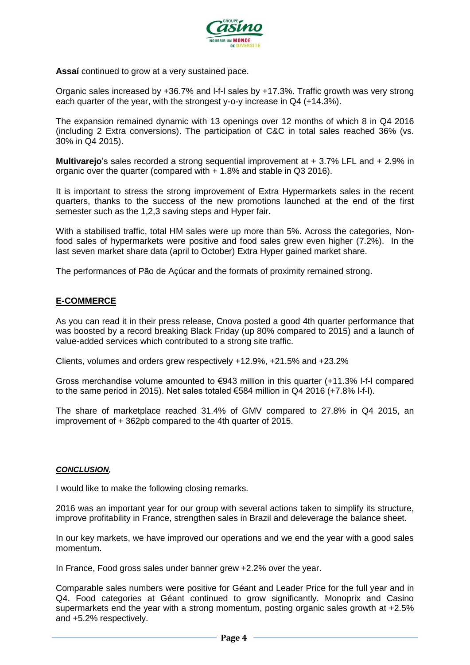

**Assaí** continued to grow at a very sustained pace.

Organic sales increased by +36.7% and l-f-l sales by +17.3%. Traffic growth was very strong each quarter of the year, with the strongest y-o-y increase in Q4 (+14.3%).

The expansion remained dynamic with 13 openings over 12 months of which 8 in Q4 2016 (including 2 Extra conversions). The participation of C&C in total sales reached 36% (vs. 30% in Q4 2015).

**Multivarejo**'s sales recorded a strong sequential improvement at + 3.7% LFL and + 2.9% in organic over the quarter (compared with + 1.8% and stable in Q3 2016).

It is important to stress the strong improvement of Extra Hypermarkets sales in the recent quarters, thanks to the success of the new promotions launched at the end of the first semester such as the 1,2,3 saving steps and Hyper fair.

With a stabilised traffic, total HM sales were up more than 5%. Across the categories, Nonfood sales of hypermarkets were positive and food sales grew even higher (7.2%). In the last seven market share data (april to October) Extra Hyper gained market share.

The performances of Pão de Açúcar and the formats of proximity remained strong.

## **E-COMMERCE**

As you can read it in their press release, Cnova posted a good 4th quarter performance that was boosted by a record breaking Black Friday (up 80% compared to 2015) and a launch of value-added services which contributed to a strong site traffic.

Clients, volumes and orders grew respectively +12.9%, +21.5% and +23.2%

Gross merchandise volume amounted to €943 million in this quarter (+11.3% l-f-l compared to the same period in 2015). Net sales totaled  $\epsilon$ 584 million in Q4 2016 (+7.8% l-f-l).

The share of marketplace reached 31.4% of GMV compared to 27.8% in Q4 2015, an improvement of + 362pb compared to the 4th quarter of 2015.

#### *CONCLUSION,*

I would like to make the following closing remarks.

2016 was an important year for our group with several actions taken to simplify its structure, improve profitability in France, strengthen sales in Brazil and deleverage the balance sheet.

In our key markets, we have improved our operations and we end the year with a good sales momentum.

In France, Food gross sales under banner grew +2.2% over the year.

Comparable sales numbers were positive for Géant and Leader Price for the full year and in Q4. Food categories at Géant continued to grow significantly. Monoprix and Casino supermarkets end the year with a strong momentum, posting organic sales growth at +2.5% and +5.2% respectively.